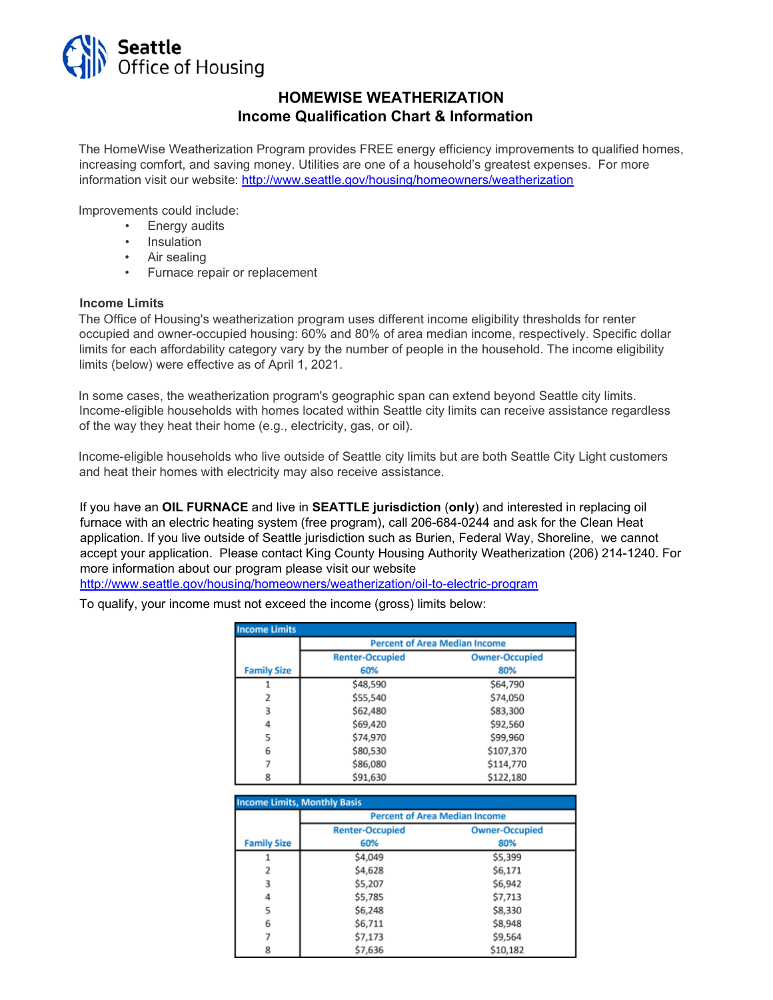

## **HOMEWISE WEATHERIZATION Income Qualification Chart & Information**

The HomeWise Weatherization Program provides FREE energy efficiency improvements to qualified homes, increasing comfort, and saving money. Utilities are one of a household's greatest expenses. For more information visit our website:<http://www.seattle.gov/housing/homeowners/weatherization>

Improvements could include:

- Energy audits
- **Insulation**
- Air sealing
- Furnace repair or replacement

#### **Income Limits**

The Office of Housing's weatherization program uses different income eligibility thresholds for renter occupied and owner-occupied housing: 60% and 80% of area median income, respectively. Specific dollar limits for each affordability category vary by the number of people in the household. The income eligibility limits (below) were effective as of April 1, 2021.

In some cases, the weatherization program's geographic span can extend beyond Seattle city limits. Income-eligible households with homes located within Seattle city limits can receive assistance regardless of the way they heat their home (e.g., electricity, gas, or oil).

Income-eligible households who live outside of Seattle city limits but are both Seattle City Light customers and heat their homes with electricity may also receive assistance.

If you have an **OIL FURNACE** and live in **SEATTLE jurisdiction** (**only**) and interested in replacing oil furnace with an electric heating system (free program), call 206-684-0244 and ask for the Clean Heat application. If you live outside of Seattle jurisdiction such as Burien, Federal Way, Shoreline, we cannot accept your application. Please contact King County Housing Authority Weatherization (206) 214-1240. For more information about our program please visit our website

[http://www.seattle.gov/housing/homeowners/weatherization/oil-to-electric-program](http://www.seattle.gov/housing/homeowners/weatherization/oil-to-electric-program-)

To qualify, your income must not exceed the income (gross) limits below:

| <b>Income Limits</b> |                                      |                       |  |  |  |
|----------------------|--------------------------------------|-----------------------|--|--|--|
|                      | <b>Percent of Area Median Income</b> |                       |  |  |  |
|                      | <b>Renter-Occupied</b>               | <b>Owner-Occupied</b> |  |  |  |
| <b>Family Size</b>   | 60%                                  | 80%                   |  |  |  |
|                      | \$48,590                             | \$64,790              |  |  |  |
| 2                    | \$55,540                             | \$74,050              |  |  |  |
| 3                    | \$62,480                             | \$83,300              |  |  |  |
| 4                    | \$69,420                             | \$92,560              |  |  |  |
| 5                    | \$74,970                             | \$99,960              |  |  |  |
| 6                    | \$80,530                             | \$107,370             |  |  |  |
|                      | \$86,080                             | \$114,770             |  |  |  |
| 8                    | \$91.630                             | \$122.180             |  |  |  |

| <b>Income Limits, Monthly Basis</b> |                    |                                      |                       |  |  |
|-------------------------------------|--------------------|--------------------------------------|-----------------------|--|--|
|                                     |                    | <b>Percent of Area Median Income</b> |                       |  |  |
|                                     |                    | <b>Renter-Occupied</b>               | <b>Owner-Occupied</b> |  |  |
|                                     | <b>Family Size</b> | 60%                                  | 80%                   |  |  |
|                                     |                    | \$4,049                              | \$5,399               |  |  |
|                                     |                    | \$4,628                              | \$6,171               |  |  |
|                                     |                    | \$5,207                              | \$6,942               |  |  |
|                                     | 4                  | \$5,785                              | \$7,713               |  |  |
|                                     | 5                  | \$6,248                              | \$8,330               |  |  |
|                                     | 6                  | \$6,711                              | \$8,948               |  |  |
|                                     |                    | \$7,173                              | \$9,564               |  |  |
|                                     | 8                  | \$7,636                              | \$10,182              |  |  |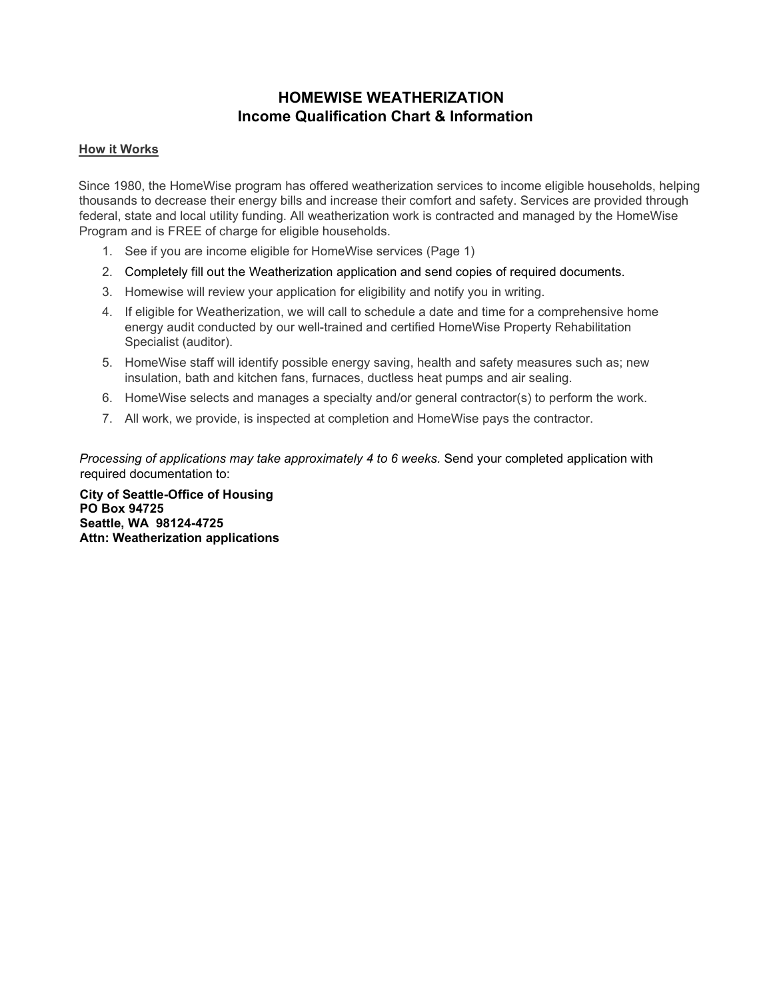## **HOMEWISE WEATHERIZATION Income Qualification Chart & Information**

#### **How it Works**

Since 1980, the HomeWise program has offered weatherization services to income eligible households, helping thousands to decrease their energy bills and increase their comfort and safety. Services are provided through federal, state and local utility funding. All weatherization work is contracted and managed by the HomeWise Program and is FREE of charge for eligible households.

- 1. See if you are income eligible for HomeWise services (Page 1)
- 2. Completely fill out the Weatherization application and send copies of required documents.
- 3. Homewise will review your application for eligibility and notify you in writing.
- 4. If eligible for Weatherization, we will call to schedule a date and time for a comprehensive home energy audit conducted by our well-trained and certified HomeWise Property Rehabilitation Specialist (auditor).
- 5. HomeWise staff will identify possible energy saving, health and safety measures such as; new insulation, bath and kitchen fans, furnaces, ductless heat pumps and air sealing.
- 6. HomeWise selects and manages a specialty and/or general contractor(s) to perform the work.
- 7. All work, we provide, is inspected at completion and HomeWise pays the contractor.

*Processing of applications may take approximately 4 to 6 weeks.* Send your completed application with required documentation to:

**City of Seattle-Office of Housing PO Box 94725 Seattle, WA 98124-4725 Attn: Weatherization applications**